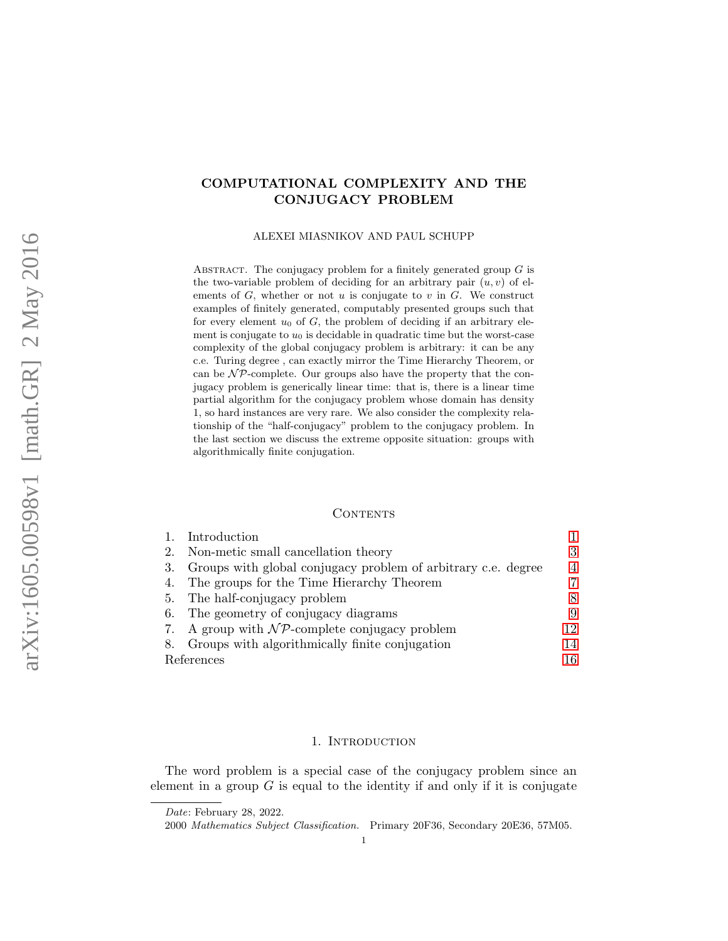# COMPUTATIONAL COMPLEXITY AND THE CONJUGACY PROBLEM

ALEXEI MIASNIKOV AND PAUL SCHUPP

ABSTRACT. The conjugacy problem for a finitely generated group  $G$  is the two-variable problem of deciding for an arbitrary pair  $(u, v)$  of elements of  $G$ , whether or not  $u$  is conjugate to  $v$  in  $G$ . We construct examples of finitely generated, computably presented groups such that for every element  $u_0$  of  $G$ , the problem of deciding if an arbitrary element is conjugate to  $u_0$  is decidable in quadratic time but the worst-case complexity of the global conjugacy problem is arbitrary: it can be any c.e. Turing degree , can exactly mirror the Time Hierarchy Theorem, or can be  $\mathcal{NP}$ -complete. Our groups also have the property that the conjugacy problem is generically linear time: that is, there is a linear time partial algorithm for the conjugacy problem whose domain has density 1, so hard instances are very rare. We also consider the complexity relationship of the "half-conjugacy" problem to the conjugacy problem. In the last section we discuss the extreme opposite situation: groups with algorithmically finite conjugation.

## **CONTENTS**

| 1. Introduction                                                  |                |
|------------------------------------------------------------------|----------------|
| 2. Non-metic small cancellation theory                           | 3              |
| 3. Groups with global conjugacy problem of arbitrary c.e. degree | $\overline{4}$ |
| 4. The groups for the Time Hierarchy Theorem                     | 7              |
| 5. The half-conjugacy problem                                    | 8              |
| 6. The geometry of conjugacy diagrams                            | 9              |
| 7. A group with $\mathcal{NP}$ -complete conjugacy problem       | 12             |
| 8. Groups with algorithmically finite conjugation                | 14             |
| References                                                       |                |

#### 1. Introduction

<span id="page-0-0"></span>The word problem is a special case of the conjugacy problem since an element in a group  $G$  is equal to the identity if and only if it is conjugate

Date: February 28, 2022.

<sup>2000</sup> Mathematics Subject Classification. Primary 20F36, Secondary 20E36, 57M05.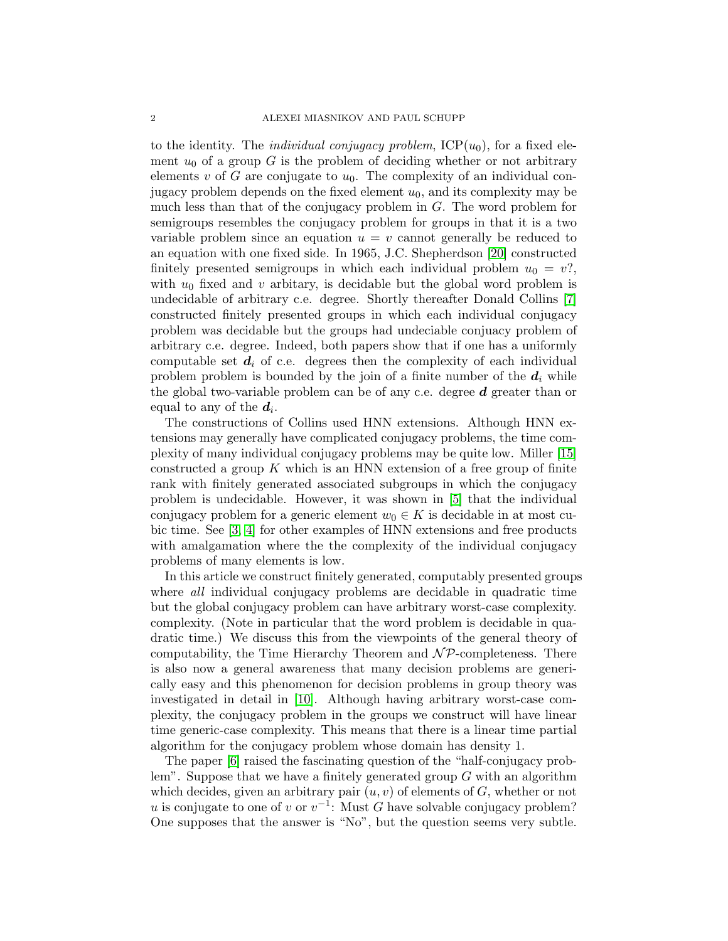to the identity. The *individual conjugacy problem*,  $\text{ICP}(u_0)$ , for a fixed element  $u_0$  of a group G is the problem of deciding whether or not arbitrary elements v of G are conjugate to  $u_0$ . The complexity of an individual conjugacy problem depends on the fixed element  $u_0$ , and its complexity may be much less than that of the conjugacy problem in G. The word problem for semigroups resembles the conjugacy problem for groups in that it is a two variable problem since an equation  $u = v$  cannot generally be reduced to an equation with one fixed side. In 1965, J.C. Shepherdson [\[20\]](#page-16-0) constructed finitely presented semigroups in which each individual problem  $u_0 = v$ ?, with  $u_0$  fixed and v arbitary, is decidable but the global word problem is undecidable of arbitrary c.e. degree. Shortly thereafter Donald Collins [\[7\]](#page-15-1) constructed finitely presented groups in which each individual conjugacy problem was decidable but the groups had undeciable conjuacy problem of arbitrary c.e. degree. Indeed, both papers show that if one has a uniformly computable set  $d_i$  of c.e. degrees then the complexity of each individual problem problem is bounded by the join of a finite number of the  $d_i$  while the global two-variable problem can be of any c.e. degree  $d$  greater than or equal to any of the  $d_i$ .

The constructions of Collins used HNN extensions. Although HNN extensions may generally have complicated conjugacy problems, the time complexity of many individual conjugacy problems may be quite low. Miller [\[15\]](#page-16-1) constructed a group  $K$  which is an HNN extension of a free group of finite rank with finitely generated associated subgroups in which the conjugacy problem is undecidable. However, it was shown in [\[5\]](#page-15-2) that the individual conjugacy problem for a generic element  $w_0 \in K$  is decidable in at most cubic time. See [\[3,](#page-15-3) [4\]](#page-15-4) for other examples of HNN extensions and free products with amalgamation where the the complexity of the individual conjugacy problems of many elements is low.

In this article we construct finitely generated, computably presented groups where *all* individual conjugacy problems are decidable in quadratic time but the global conjugacy problem can have arbitrary worst-case complexity. complexity. (Note in particular that the word problem is decidable in quadratic time.) We discuss this from the viewpoints of the general theory of computability, the Time Hierarchy Theorem and  $\mathcal{NP}$ -completeness. There is also now a general awareness that many decision problems are generically easy and this phenomenon for decision problems in group theory was investigated in detail in [\[10\]](#page-16-2). Although having arbitrary worst-case complexity, the conjugacy problem in the groups we construct will have linear time generic-case complexity. This means that there is a linear time partial algorithm for the conjugacy problem whose domain has density 1.

The paper [\[6\]](#page-15-5) raised the fascinating question of the "half-conjugacy problem". Suppose that we have a finitely generated group  $G$  with an algorithm which decides, given an arbitrary pair  $(u, v)$  of elements of  $G$ , whether or not u is conjugate to one of v or  $v^{-1}$ : Must G have solvable conjugacy problem? One supposes that the answer is "No", but the question seems very subtle.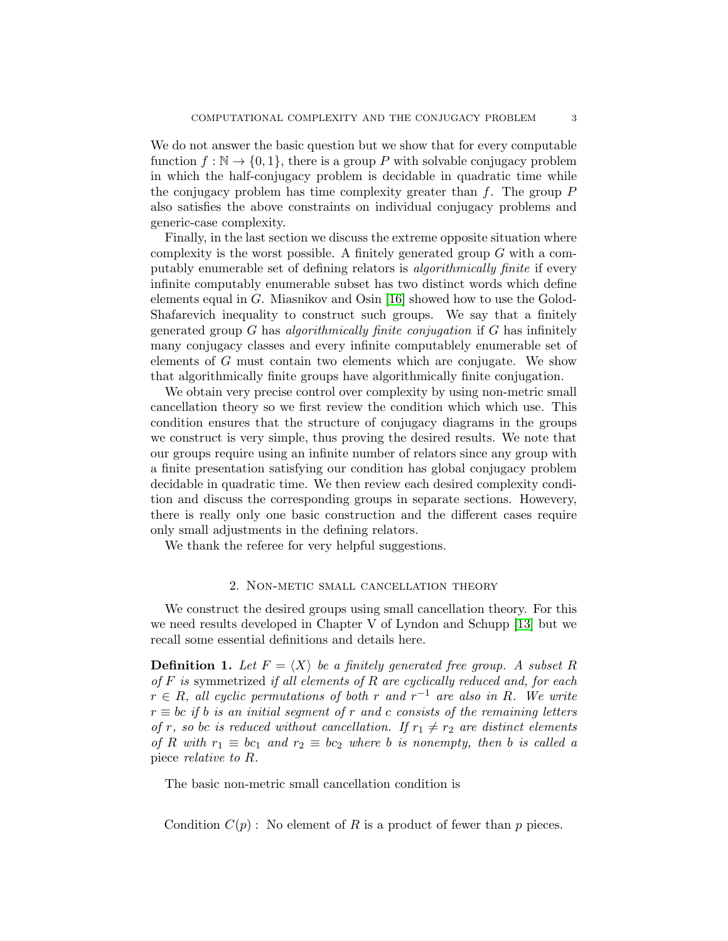We do not answer the basic question but we show that for every computable function  $f : \mathbb{N} \to \{0, 1\}$ , there is a group P with solvable conjugacy problem in which the half-conjugacy problem is decidable in quadratic time while the conjugacy problem has time complexity greater than  $f$ . The group  $P$ also satisfies the above constraints on individual conjugacy problems and generic-case complexity.

Finally, in the last section we discuss the extreme opposite situation where complexity is the worst possible. A finitely generated group  $G$  with a computably enumerable set of defining relators is algorithmically finite if every infinite computably enumerable subset has two distinct words which define elements equal in G. Miasnikov and Osin [\[16\]](#page-16-3) showed how to use the Golod-Shafarevich inequality to construct such groups. We say that a finitely generated group  $G$  has algorithmically finite conjugation if  $G$  has infinitely many conjugacy classes and every infinite computablely enumerable set of elements of G must contain two elements which are conjugate. We show that algorithmically finite groups have algorithmically finite conjugation.

We obtain very precise control over complexity by using non-metric small cancellation theory so we first review the condition which which use. This condition ensures that the structure of conjugacy diagrams in the groups we construct is very simple, thus proving the desired results. We note that our groups require using an infinite number of relators since any group with a finite presentation satisfying our condition has global conjugacy problem decidable in quadratic time. We then review each desired complexity condition and discuss the corresponding groups in separate sections. Howevery, there is really only one basic construction and the different cases require only small adjustments in the defining relators.

We thank the referee for very helpful suggestions.

### 2. Non-metic small cancellation theory

<span id="page-2-0"></span>We construct the desired groups using small cancellation theory. For this we need results developed in Chapter V of Lyndon and Schupp [\[13\]](#page-16-4) but we recall some essential definitions and details here.

**Definition 1.** Let  $F = \langle X \rangle$  be a finitely generated free group. A subset R of  $F$  is symmetrized if all elements of  $R$  are cyclically reduced and, for each  $r \in R$ , all cyclic permutations of both r and  $r^{-1}$  are also in R. We write  $r \equiv bc$  if b is an initial segment of r and c consists of the remaining letters of r, so be is reduced without cancellation. If  $r_1 \neq r_2$  are distinct elements of R with  $r_1 \equiv bc_1$  and  $r_2 \equiv bc_2$  where b is nonempty, then b is called a piece relative to R.

The basic non-metric small cancellation condition is

Condition  $C(p)$ : No element of R is a product of fewer than p pieces.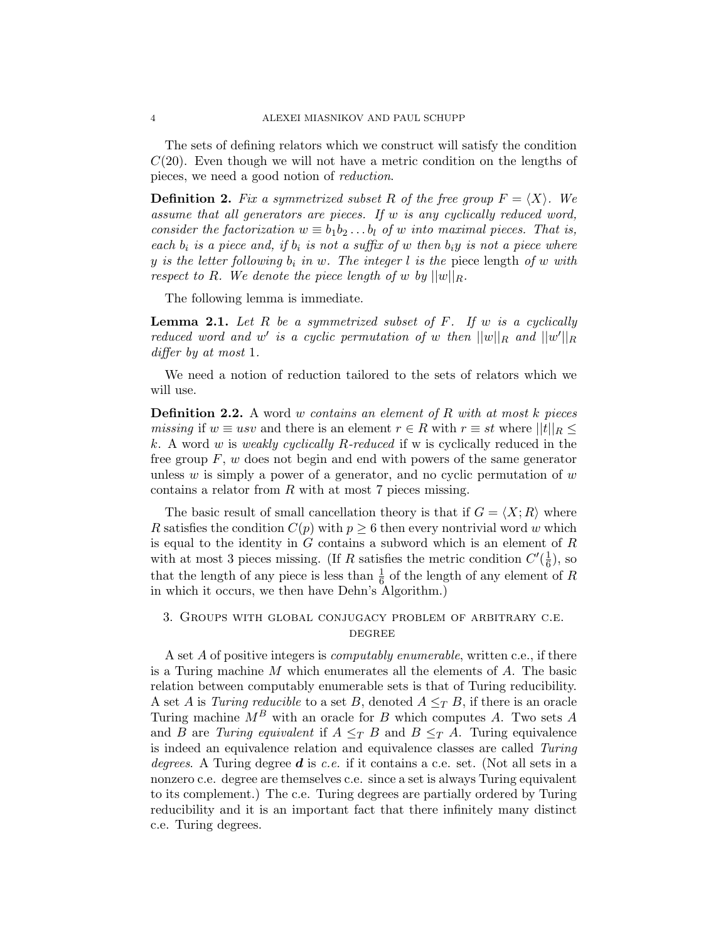The sets of defining relators which we construct will satisfy the condition  $C(20)$ . Even though we will not have a metric condition on the lengths of pieces, we need a good notion of reduction.

**Definition 2.** Fix a symmetrized subset R of the free group  $F = \langle X \rangle$ . We assume that all generators are pieces. If w is any cyclically reduced word, consider the factorization  $w \equiv b_1 b_2 \ldots b_l$  of w into maximal pieces. That is, each  $b_i$  is a piece and, if  $b_i$  is not a suffix of w then  $b_iy$  is not a piece where y is the letter following  $b_i$  in w. The integer l is the piece length of w with respect to R. We denote the piece length of w by  $||w||_R$ .

The following lemma is immediate.

**Lemma 2.1.** Let R be a symmetrized subset of F. If w is a cyclically reduced word and w' is a cyclic permutation of w then  $||w||_R$  and  $||w'||_R$ differ by at most 1.

We need a notion of reduction tailored to the sets of relators which we will use.

**Definition 2.2.** A word w contains an element of R with at most k pieces *missing* if  $w \equiv usv$  and there is an element  $r \in R$  with  $r \equiv st$  where  $||t||_R \le$ k. A word w is weakly cyclically R-reduced if w is cyclically reduced in the free group  $F, w$  does not begin and end with powers of the same generator unless  $w$  is simply a power of a generator, and no cyclic permutation of  $w$ contains a relator from  $R$  with at most  $7$  pieces missing.

The basic result of small cancellation theory is that if  $G = \langle X; R \rangle$  where R satisfies the condition  $C(p)$  with  $p \geq 6$  then every nontrivial word w which is equal to the identity in  $G$  contains a subword which is an element of  $R$ with at most 3 pieces missing. (If R satisfies the metric condition  $C'(\frac{1}{6})$  $(\frac{1}{6})$ , so that the length of any piece is less than  $\frac{1}{6}$  of the length of any element of R in which it occurs, we then have Dehn's Algorithm.)

# <span id="page-3-0"></span>3. Groups with global conjugacy problem of arbitrary c.e. **DEGREE**

A set A of positive integers is *computably enumerable*, written c.e., if there is a Turing machine M which enumerates all the elements of A. The basic relation between computably enumerable sets is that of Turing reducibility. A set A is Turing reducible to a set B, denoted  $A \leq_T B$ , if there is an oracle Turing machine  $M^B$  with an oracle for B which computes A. Two sets A and B are Turing equivalent if  $A \leq_T B$  and  $B \leq_T A$ . Turing equivalence is indeed an equivalence relation and equivalence classes are called Turing degrees. A Turing degree  $d$  is c.e. if it contains a c.e. set. (Not all sets in a nonzero c.e. degree are themselves c.e. since a set is always Turing equivalent to its complement.) The c.e. Turing degrees are partially ordered by Turing reducibility and it is an important fact that there infinitely many distinct c.e. Turing degrees.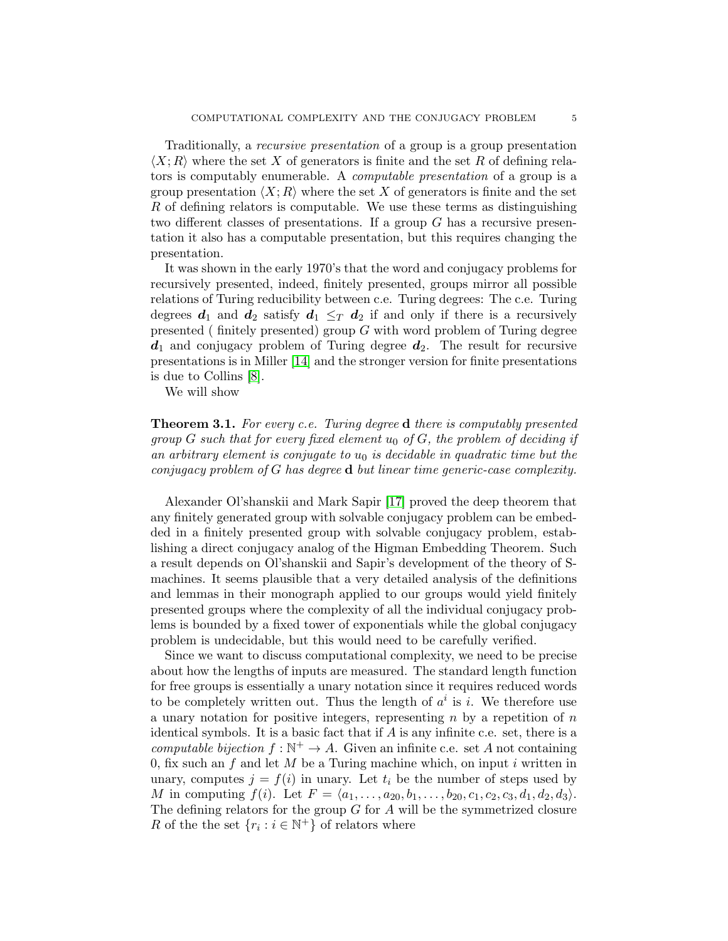Traditionally, a *recursive presentation* of a group is a group presentation  $\langle X; R \rangle$  where the set X of generators is finite and the set R of defining relators is computably enumerable. A computable presentation of a group is a group presentation  $\langle X; R \rangle$  where the set X of generators is finite and the set R of defining relators is computable. We use these terms as distinguishing two different classes of presentations. If a group G has a recursive presentation it also has a computable presentation, but this requires changing the presentation.

It was shown in the early 1970's that the word and conjugacy problems for recursively presented, indeed, finitely presented, groups mirror all possible relations of Turing reducibility between c.e. Turing degrees: The c.e. Turing degrees  $d_1$  and  $d_2$  satisfy  $d_1 \leq_T d_2$  if and only if there is a recursively presented ( finitely presented) group  $G$  with word problem of Turing degree  $d_1$  and conjugacy problem of Turing degree  $d_2$ . The result for recursive presentations is in Miller [\[14\]](#page-16-5) and the stronger version for finite presentations is due to Collins [\[8\]](#page-15-6).

We will show

<span id="page-4-0"></span>Theorem 3.1. For every c.e. Turing degree d there is computably presented group G such that for every fixed element  $u_0$  of G, the problem of deciding if an arbitrary element is conjugate to  $u_0$  is decidable in quadratic time but the conjugacy problem of G has degree d but linear time generic-case complexity.

Alexander Ol'shanskii and Mark Sapir [\[17\]](#page-16-6) proved the deep theorem that any finitely generated group with solvable conjugacy problem can be embedded in a finitely presented group with solvable conjugacy problem, establishing a direct conjugacy analog of the Higman Embedding Theorem. Such a result depends on Ol'shanskii and Sapir's development of the theory of Smachines. It seems plausible that a very detailed analysis of the definitions and lemmas in their monograph applied to our groups would yield finitely presented groups where the complexity of all the individual conjugacy problems is bounded by a fixed tower of exponentials while the global conjugacy problem is undecidable, but this would need to be carefully verified.

Since we want to discuss computational complexity, we need to be precise about how the lengths of inputs are measured. The standard length function for free groups is essentially a unary notation since it requires reduced words to be completely written out. Thus the length of  $a^i$  is i. We therefore use a unary notation for positive integers, representing  $n$  by a repetition of  $n$ identical symbols. It is a basic fact that if  $A$  is any infinite c.e. set, there is a computable bijection  $f : \mathbb{N}^+ \to A$ . Given an infinite c.e. set A not containing 0, fix such an  $f$  and let  $M$  be a Turing machine which, on input i written in unary, computes  $j = f(i)$  in unary. Let  $t_i$  be the number of steps used by M in computing  $f(i)$ . Let  $F = \langle a_1, \ldots, a_{20}, b_1, \ldots, b_{20}, c_1, c_2, c_3, d_1, d_2, d_3 \rangle$ . The defining relators for the group  $G$  for  $A$  will be the symmetrized closure R of the the set  $\{r_i : i \in \mathbb{N}^+\}$  of relators where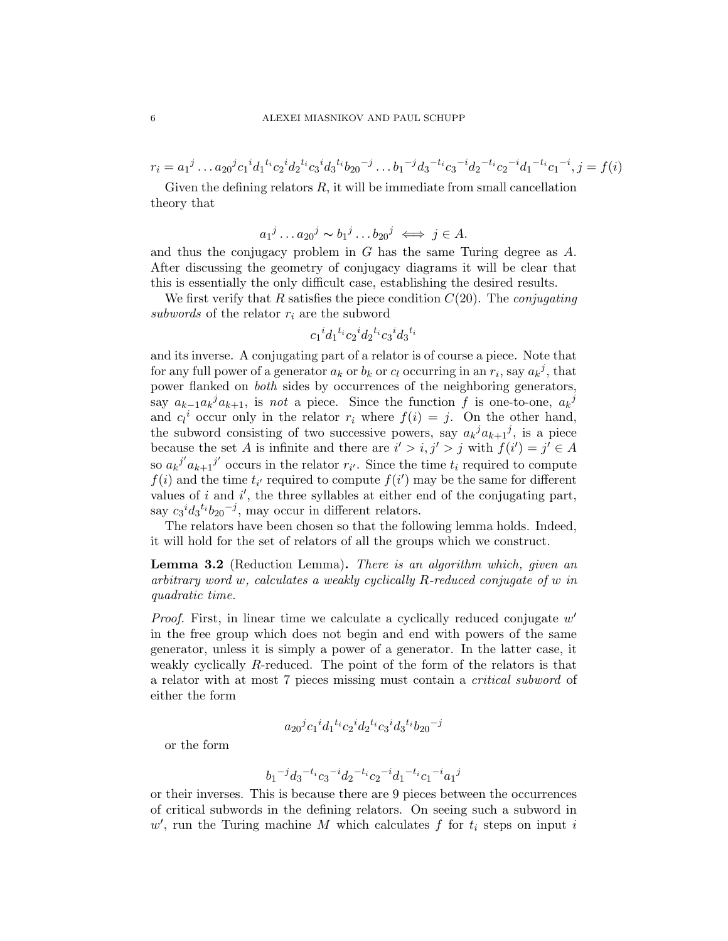$r_i = a_1{}^j \dots a_{20}{}^j c_1{}^i d_1{}^{t_i} c_2{}^i d_2{}^{t_i} c_3{}^i d_3{}^{t_i} b_{20}{}^{-j} \dots b_1{}^{-j} d_3{}^{-t_i} c_3{}^{-i} d_2{}^{-t_i} c_2{}^{-i} d_1{}^{-t_i} c_1{}^{-i}, j = f(i)$ 

Given the defining relators  $R$ , it will be immediate from small cancellation theory that

$$
a_1^j \dots a_{20}^j \sim b_1^j \dots b_{20}^j \iff j \in A.
$$

and thus the conjugacy problem in G has the same Turing degree as A. After discussing the geometry of conjugacy diagrams it will be clear that this is essentially the only difficult case, establishing the desired results.

We first verify that R satisfies the piece condition  $C(20)$ . The *conjugating* subwords of the relator  $r_i$  are the subword

$$
{c_1}^i{d_1}^{t_i}c_2{}^i{d_2}^{t_i}c_3{}^i{d_3}^{t_i}
$$

and its inverse. A conjugating part of a relator is of course a piece. Note that for any full power of a generator  $a_k$  or  $b_k$  or  $c_l$  occurring in an  $r_i$ , say  $a_k{}^j$ , that power flanked on both sides by occurrences of the neighboring generators, say  $a_{k-1}a_k^ja_{k+1}$ , is not a piece. Since the function f is one-to-one,  $a_k^j$ and  $c_l^i$  occur only in the relator  $r_i$  where  $f(i) = j$ . On the other hand, the subword consisting of two successive powers, say  $a_k^j a_{k+1}^j$ , is a piece because the set A is infinite and there are  $i' > i, j' > j$  with  $f(i') = j' \in A$ so  $a_k^{j'} a_{k+1}^{j'}$  occurs in the relator  $r_{i'}$ . Since the time  $t_i$  required to compute  $f(i)$  and the time  $t_{i'}$  required to compute  $f(i')$  may be the same for different values of  $i$  and  $i'$ , the three syllables at either end of the conjugating part, say  $c_3{}^i d_3{}^{t_i} b_{20}{}^{-j}$ , may occur in different relators.

The relators have been chosen so that the following lemma holds. Indeed, it will hold for the set of relators of all the groups which we construct.

<span id="page-5-0"></span>Lemma 3.2 (Reduction Lemma). There is an algorithm which, given an arbitrary word w, calculates a weakly cyclically R-reduced conjugate of w in quadratic time.

*Proof.* First, in linear time we calculate a cyclically reduced conjugate  $w'$ in the free group which does not begin and end with powers of the same generator, unless it is simply a power of a generator. In the latter case, it weakly cyclically R-reduced. The point of the form of the relators is that a relator with at most 7 pieces missing must contain a critical subword of either the form

$$
a_{20}{}^j c_1{}^i d_1{}^{t_i} c_2{}^i d_2{}^{t_i} c_3{}^i d_3{}^{t_i} b_{20}{}^{-j} \\
$$

or the form

$$
\qquad \qquad b_1{}^{-j}d_3{}^{-t_i}c_3{}^{-i}d_2{}^{-t_i}c_2{}^{-i}d_1{}^{-t_i}c_1{}^{-i}a_1{}^{j}
$$

or their inverses. This is because there are 9 pieces between the occurrences of critical subwords in the defining relators. On seeing such a subword in  $w'$ , run the Turing machine M which calculates f for  $t_i$  steps on input i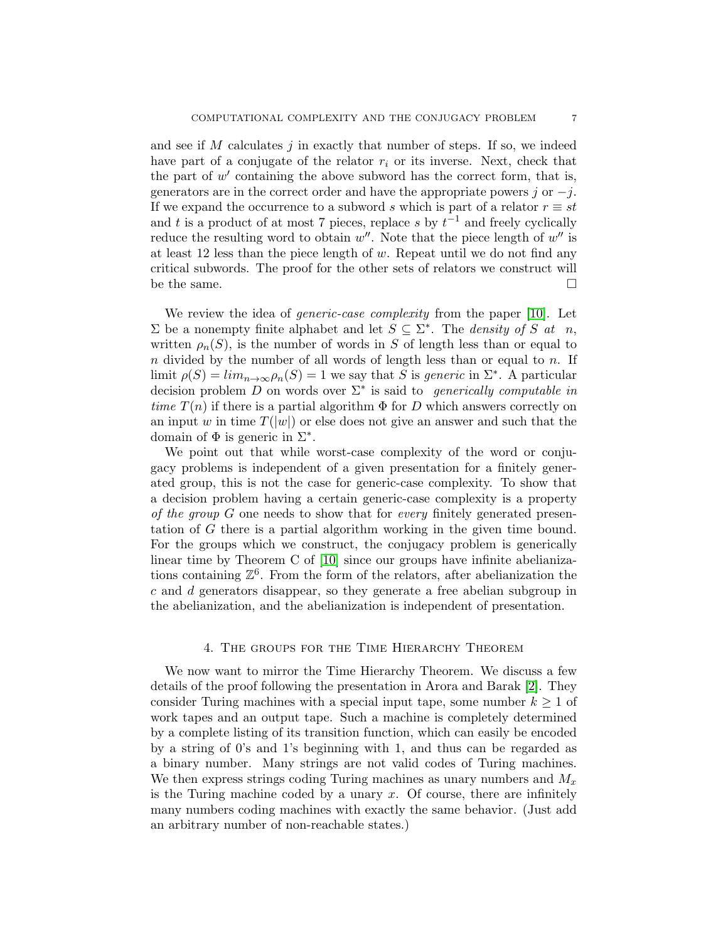and see if  $M$  calculates  $j$  in exactly that number of steps. If so, we indeed have part of a conjugate of the relator  $r_i$  or its inverse. Next, check that the part of  $w'$  containing the above subword has the correct form, that is, generators are in the correct order and have the appropriate powers  $j$  or  $-j$ . If we expand the occurrence to a subword s which is part of a relator  $r \equiv st$ and t is a product of at most 7 pieces, replace s by  $t^{-1}$  and freely cyclically reduce the resulting word to obtain  $w''$ . Note that the piece length of  $w''$  is at least 12 less than the piece length of  $w$ . Repeat until we do not find any critical subwords. The proof for the other sets of relators we construct will be the same.  $\square$ 

We review the idea of *generic-case complexity* from the paper [\[10\]](#page-16-2). Let Σ be a nonempty finite alphabet and let  $S \subseteq Σ^*$ . The *density of S* at *n*, written  $\rho_n(S)$ , is the number of words in S of length less than or equal to  $n$  divided by the number of all words of length less than or equal to  $n$ . If limit  $\rho(S) = \lim_{n \to \infty} \rho_n(S) = 1$  we say that S is generic in  $\Sigma^*$ . A particular decision problem D on words over  $\Sigma^*$  is said to generically computable in time  $T(n)$  if there is a partial algorithm  $\Phi$  for D which answers correctly on an input w in time  $T(|w|)$  or else does not give an answer and such that the domain of  $\Phi$  is generic in  $\Sigma^*$ .

We point out that while worst-case complexity of the word or conjugacy problems is independent of a given presentation for a finitely generated group, this is not the case for generic-case complexity. To show that a decision problem having a certain generic-case complexity is a property of the group G one needs to show that for every finitely generated presentation of G there is a partial algorithm working in the given time bound. For the groups which we construct, the conjugacy problem is generically linear time by Theorem C of [\[10\]](#page-16-2) since our groups have infinite abelianizations containing  $\mathbb{Z}^6$ . From the form of the relators, after abelianization the c and d generators disappear, so they generate a free abelian subgroup in the abelianization, and the abelianization is independent of presentation.

#### 4. The groups for the Time Hierarchy Theorem

<span id="page-6-0"></span>We now want to mirror the Time Hierarchy Theorem. We discuss a few details of the proof following the presentation in Arora and Barak [\[2\]](#page-15-7). They consider Turing machines with a special input tape, some number  $k \geq 1$  of work tapes and an output tape. Such a machine is completely determined by a complete listing of its transition function, which can easily be encoded by a string of 0's and 1's beginning with 1, and thus can be regarded as a binary number. Many strings are not valid codes of Turing machines. We then express strings coding Turing machines as unary numbers and  $M_x$ is the Turing machine coded by a unary  $x$ . Of course, there are infinitely many numbers coding machines with exactly the same behavior. (Just add an arbitrary number of non-reachable states.)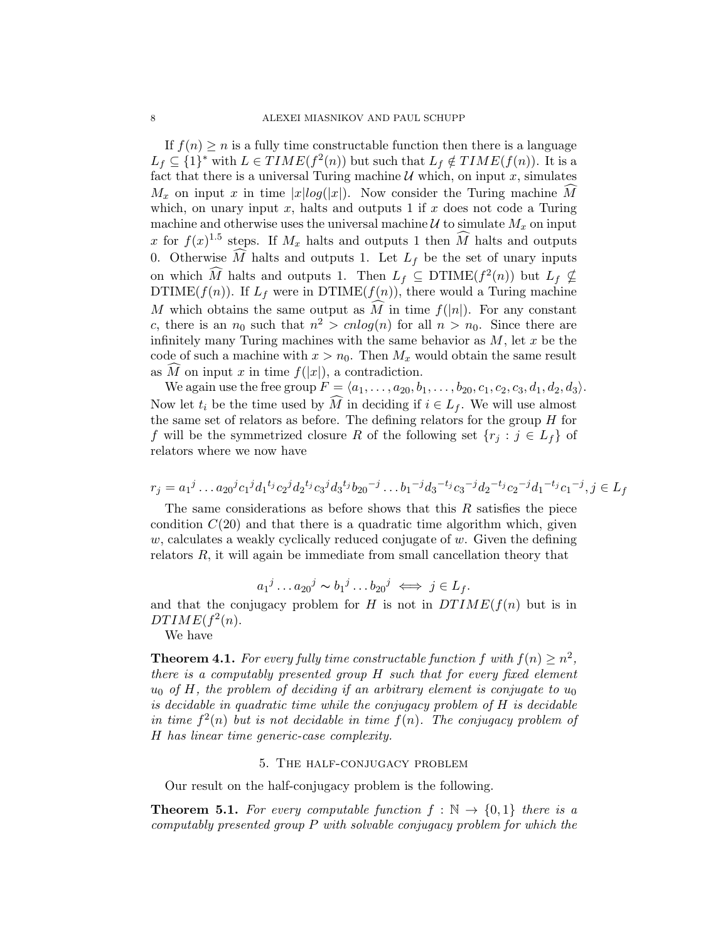If  $f(n) \geq n$  is a fully time constructable function then there is a language  $L_f \subseteq \{1\}^*$  with  $L \in TIME(f^2(n))$  but such that  $L_f \notin TIME(f(n))$ . It is a fact that there is a universal Turing machine  $\mathcal U$  which, on input  $x$ , simulates  $M_x$  on input x in time  $|x|log(|x|)$ . Now consider the Turing machine M which, on unary input  $x$ , halts and outputs 1 if  $x$  does not code a Turing machine and otherwise uses the universal machine  $\mathcal U$  to simulate  $M_x$  on input x for  $f(x)^{1.5}$  steps. If  $M_x$  halts and outputs 1 then  $\widehat{M}$  halts and outputs 0. Otherwise  $\widehat{M}$  halts and outputs 1. Let  $L_f$  be the set of unary inputs on which  $\widehat{M}$  halts and outputs 1. Then  $L_f \subseteq \text{DTIME}(f^2(n))$  but  $L_f \nsubseteq \text{DTIME}(f^2(n))$ DTIME $(f(n))$ . If  $L_f$  were in DTIME $(f(n))$ , there would a Turing machine M which obtains the same output as  $\widehat{M}$  in time  $f(|n|)$ . For any constant c, there is an  $n_0$  such that  $n^2 > cnlog(n)$  for all  $n > n_0$ . Since there are infinitely many Turing machines with the same behavior as  $M$ , let  $x$  be the code of such a machine with  $x > n_0$ . Then  $M_x$  would obtain the same result as  $\widehat{M}$  on input x in time  $f(|x|)$ , a contradiction.

We again use the free group  $F = \langle a_1, \ldots, a_{20}, b_1, \ldots, b_{20}, c_1, c_2, c_3, d_1, d_2, d_3 \rangle$ . Now let  $t_i$  be the time used by M in deciding if  $i \in L_f$ . We will use almost the same set of relators as before. The defining relators for the group  $H$  for f will be the symmetrized closure R of the following set  $\{r_j : j \in L_f\}$  of relators where we now have

$$
r_j = a_1{}^j \dots a_{20}{}^j c_1{}^j d_1{}^{t_j} c_2{}^j d_2{}^{t_j} c_3{}^j d_3{}^{t_j} b_{20}{}^{-j} \dots b_1{}^{-j} d_3{}^{-t_j} c_3{}^{-j} d_2{}^{-t_j} c_2{}^{-j} d_1{}^{-t_j} c_1{}^{-j}, j \in L_f
$$

The same considerations as before shows that this  $R$  satisfies the piece condition  $C(20)$  and that there is a quadratic time algorithm which, given  $w$ , calculates a weakly cyclically reduced conjugate of  $w$ . Given the defining relators R, it will again be immediate from small cancellation theory that

$$
a_1^j \dots a_{20}^j \sim b_1^j \dots b_{20}^j \iff j \in L_f.
$$

and that the conjugacy problem for  $H$  is not in  $DTIME(f(n)$  but is in  $DTIME(f^2(n).$ 

We have

**Theorem 4.1.** For every fully time constructable function f with  $f(n) \geq n^2$ , there is a computably presented group H such that for every fixed element  $u_0$  of H, the problem of deciding if an arbitrary element is conjugate to  $u_0$ is decidable in quadratic time while the conjugacy problem of H is decidable in time  $f^2(n)$  but is not decidable in time  $f(n)$ . The conjugacy problem of H has linear time generic-case complexity.

## 5. The half-conjugacy problem

<span id="page-7-0"></span>Our result on the half-conjugacy problem is the following.

**Theorem 5.1.** For every computable function  $f : \mathbb{N} \to \{0,1\}$  there is a computably presented group P with solvable conjugacy problem for which the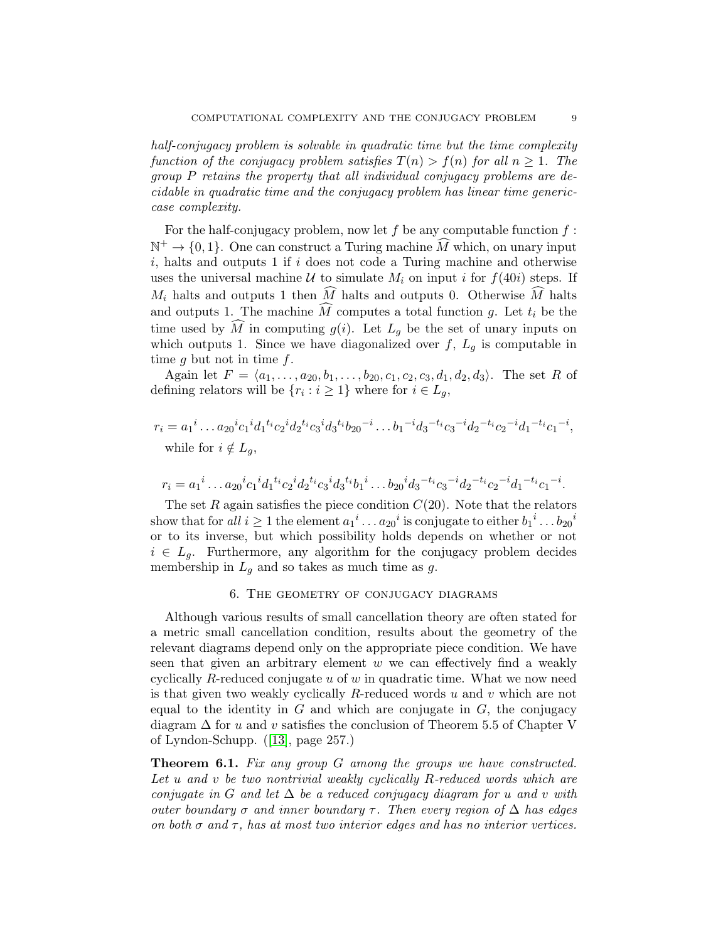half-conjugacy problem is solvable in quadratic time but the time complexity function of the conjugacy problem satisfies  $T(n) > f(n)$  for all  $n \geq 1$ . The group P retains the property that all individual conjugacy problems are decidable in quadratic time and the conjugacy problem has linear time genericcase complexity.

For the half-conjugacy problem, now let  $f$  be any computable function  $f$ :  $\mathbb{N}^+ \to \{0, 1\}$ . One can construct a Turing machine  $\widehat{M}$  which, on unary input  $i$ , halts and outputs 1 if  $i$  does not code a Turing machine and otherwise uses the universal machine  $U$  to simulate  $M_i$  on input i for  $f(40i)$  steps. If  $M_i$  halts and outputs 1 then  $\widehat{M}$  halts and outputs 0. Otherwise  $\widehat{M}$  halts and outputs 1. The machine  $\widehat{M}$  computes a total function g. Let  $t_i$  be the time used by  $\widehat{M}$  in computing  $g(i)$ . Let  $L_g$  be the set of unary inputs on which outputs 1. Since we have diagonalized over  $f, L_g$  is computable in time g but not in time  $f$ .

Again let  $F = \langle a_1, \ldots, a_{20}, b_1, \ldots, b_{20}, c_1, c_2, c_3, d_1, d_2, d_3 \rangle$ . The set R of defining relators will be  $\{r_i : i \geq 1\}$  where for  $i \in L_g$ ,

$$
r_i = a_1^i \dots a_{20}^i c_1^i d_1^{t_i} c_2^i d_2^{t_i} c_3^i d_3^{t_i} b_{20}^{-i} \dots b_1^{-i} d_3^{-t_i} c_3^{-i} d_2^{-t_i} c_2^{-i} d_1^{-t_i} c_1^{-i},
$$
while for  $i \notin L_g$ ,

$$
r_i = a_1^i \dots a_{20}^i c_1^i d_1^t i_{c_2}^i d_2^t i_{c_3}^i d_3^t i_{b_1}^i \dots b_{20}^i d_3^{-t_i} c_3^{-i} d_2^{-t_i} c_2^{-i} d_1^{-t_i} c_1^{-i}.
$$

The set R again satisfies the piece condition  $C(20)$ . Note that the relators show that for all  $i \geq 1$  the element  ${a_1}^i \ldots {a_{20}}^i$  is conjugate to either  ${b_1}^i \ldots {b_{20}}^i$ or to its inverse, but which possibility holds depends on whether or not  $i \in L_q$ . Furthermore, any algorithm for the conjugacy problem decides membership in  $L_g$  and so takes as much time as g.

# 6. The geometry of conjugacy diagrams

<span id="page-8-0"></span>Although various results of small cancellation theory are often stated for a metric small cancellation condition, results about the geometry of the relevant diagrams depend only on the appropriate piece condition. We have seen that given an arbitrary element  $w$  we can effectively find a weakly cyclically R-reduced conjugate  $u$  of  $w$  in quadratic time. What we now need is that given two weakly cyclically R-reduced words  $u$  and  $v$  which are not equal to the identity in  $G$  and which are conjugate in  $G$ , the conjugacy diagram  $\Delta$  for u and v satisfies the conclusion of Theorem 5.5 of Chapter V of Lyndon-Schupp. ([\[13\]](#page-16-4), page 257.)

Theorem 6.1. Fix any group G among the groups we have constructed. Let u and v be two nontrivial weakly cyclically R-reduced words which are conjugate in G and let  $\Delta$  be a reduced conjugacy diagram for u and v with outer boundary  $\sigma$  and inner boundary  $\tau$ . Then every region of  $\Delta$  has edges on both  $\sigma$  and  $\tau$ , has at most two interior edges and has no interior vertices.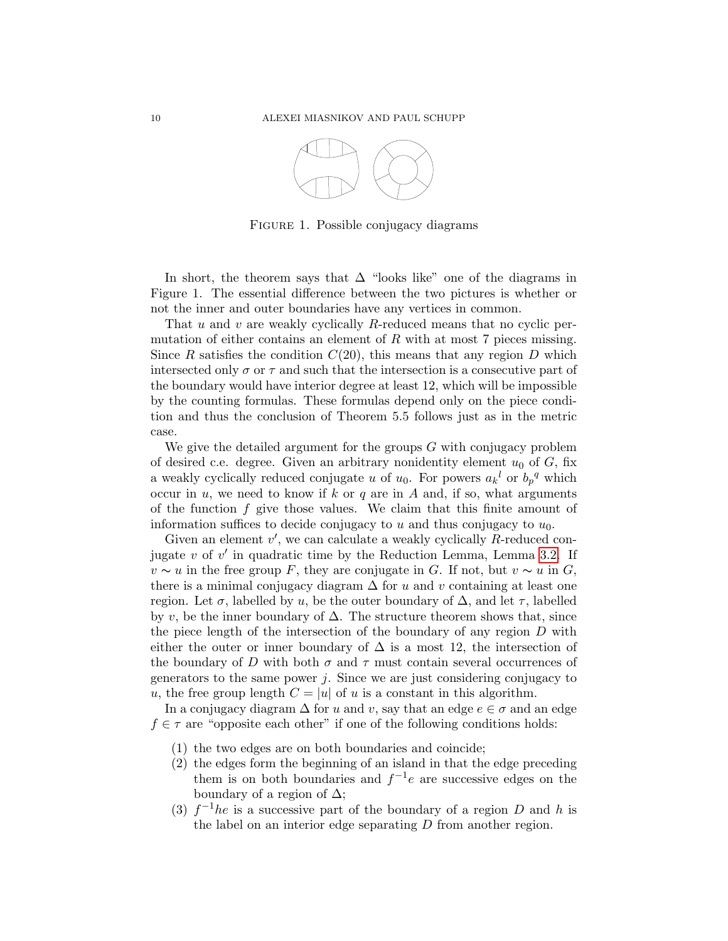

FIGURE 1. Possible conjugacy diagrams

In short, the theorem says that  $\Delta$  "looks like" one of the diagrams in Figure 1. The essential difference between the two pictures is whether or not the inner and outer boundaries have any vertices in common.

That u and v are weakly cyclically R-reduced means that no cyclic permutation of either contains an element of  $R$  with at most  $7$  pieces missing. Since R satisfies the condition  $C(20)$ , this means that any region D which intersected only  $\sigma$  or  $\tau$  and such that the intersection is a consecutive part of the boundary would have interior degree at least 12, which will be impossible by the counting formulas. These formulas depend only on the piece condition and thus the conclusion of Theorem 5.5 follows just as in the metric case.

We give the detailed argument for the groups  $G$  with conjugacy problem of desired c.e. degree. Given an arbitrary nonidentity element  $u_0$  of  $G$ , fix a weakly cyclically reduced conjugate u of  $u_0$ . For powers  $a_k{}^l$  or  $b_p{}^q$  which occur in  $u$ , we need to know if  $k$  or  $q$  are in  $A$  and, if so, what arguments of the function  $f$  give those values. We claim that this finite amount of information suffices to decide conjugacy to  $u$  and thus conjugacy to  $u_0$ .

Given an element  $v'$ , we can calculate a weakly cyclically  $R$ -reduced conjugate  $v$  of  $v'$  in quadratic time by the Reduction Lemma, Lemma [3.2.](#page-5-0) If  $v \sim u$  in the free group F, they are conjugate in G. If not, but  $v \sim u$  in G, there is a minimal conjugacy diagram  $\Delta$  for u and v containing at least one region. Let  $\sigma$ , labelled by u, be the outer boundary of  $\Delta$ , and let  $\tau$ , labelled by v, be the inner boundary of  $\Delta$ . The structure theorem shows that, since the piece length of the intersection of the boundary of any region D with either the outer or inner boundary of  $\Delta$  is a most 12, the intersection of the boundary of D with both  $\sigma$  and  $\tau$  must contain several occurrences of generators to the same power  $j$ . Since we are just considering conjugacy to u, the free group length  $C = |u|$  of u is a constant in this algorithm.

In a conjugacy diagram  $\Delta$  for u and v, say that an edge  $e \in \sigma$  and an edge  $f \in \tau$  are "opposite each other" if one of the following conditions holds:

- (1) the two edges are on both boundaries and coincide;
- (2) the edges form the beginning of an island in that the edge preceding them is on both boundaries and  $f^{-1}e$  are successive edges on the boundary of a region of  $\Delta$ ;
- (3)  $f^{-1}he$  is a successive part of the boundary of a region D and h is the label on an interior edge separating D from another region.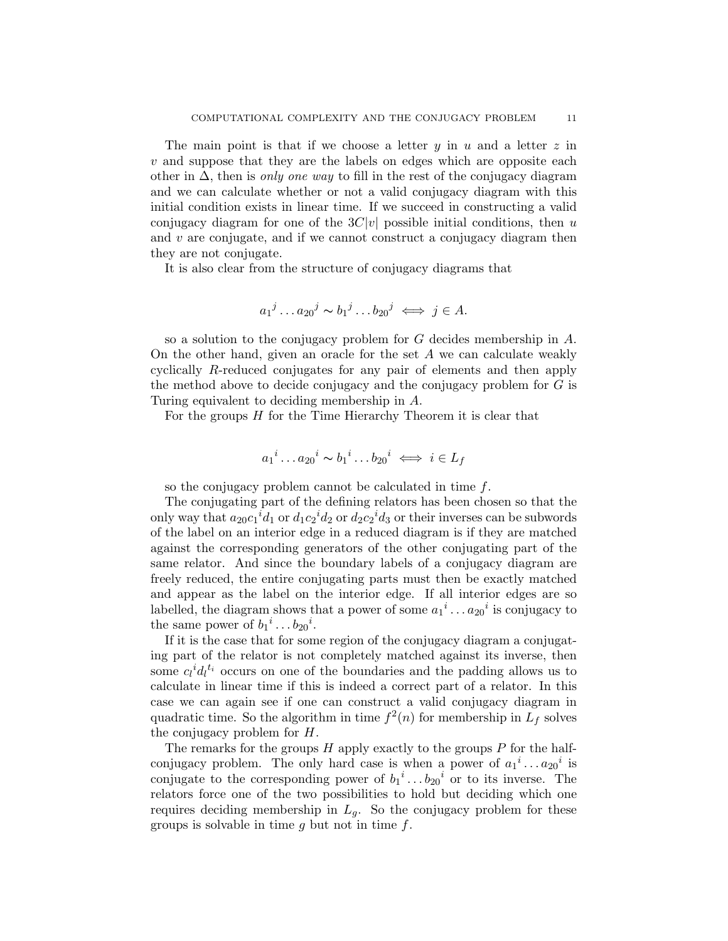The main point is that if we choose a letter  $y$  in u and a letter  $z$  in  $v$  and suppose that they are the labels on edges which are opposite each other in  $\Delta$ , then is *only one way* to fill in the rest of the conjugacy diagram and we can calculate whether or not a valid conjugacy diagram with this initial condition exists in linear time. If we succeed in constructing a valid conjugacy diagram for one of the  $3C|v|$  possible initial conditions, then u and  $v$  are conjugate, and if we cannot construct a conjugacy diagram then they are not conjugate.

It is also clear from the structure of conjugacy diagrams that

$$
a_1{}^j \dots a_{20}{}^j \sim b_1{}^j \dots b_{20}{}^j \iff j \in A.
$$

so a solution to the conjugacy problem for G decides membership in A. On the other hand, given an oracle for the set A we can calculate weakly cyclically R-reduced conjugates for any pair of elements and then apply the method above to decide conjugacy and the conjugacy problem for  $G$  is Turing equivalent to deciding membership in A.

For the groups H for the Time Hierarchy Theorem it is clear that

$$
a_1{}^i \dots a_{20}{}^i \sim b_1{}^i \dots b_{20}{}^i \iff i \in L_f
$$

so the conjugacy problem cannot be calculated in time f.

The conjugating part of the defining relators has been chosen so that the only way that  $a_{20}c_1{}^i d_1$  or  $d_1c_2{}^i d_2$  or  $d_2c_2{}^i d_3$  or their inverses can be subwords of the label on an interior edge in a reduced diagram is if they are matched against the corresponding generators of the other conjugating part of the same relator. And since the boundary labels of a conjugacy diagram are freely reduced, the entire conjugating parts must then be exactly matched and appear as the label on the interior edge. If all interior edges are so labelled, the diagram shows that a power of some  $a_1^i \dots a_{20}^i$  is conjugacy to the same power of  $b_1^i \dots b_{20}^i$ .

If it is the case that for some region of the conjugacy diagram a conjugating part of the relator is not completely matched against its inverse, then some  $c_l^i d_l^{t_i}$  occurs on one of the boundaries and the padding allows us to calculate in linear time if this is indeed a correct part of a relator. In this case we can again see if one can construct a valid conjugacy diagram in quadratic time. So the algorithm in time  $f^2(n)$  for membership in  $L_f$  solves the conjugacy problem for H.

The remarks for the groups  $H$  apply exactly to the groups  $P$  for the halfconjugacy problem. The only hard case is when a power of  $a_1^i \dots a_{20}^i$  is conjugate to the corresponding power of  $b_1^i \dots b_{20}^i$  or to its inverse. The relators force one of the two possibilities to hold but deciding which one requires deciding membership in  $L_q$ . So the conjugacy problem for these groups is solvable in time  $q$  but not in time  $f$ .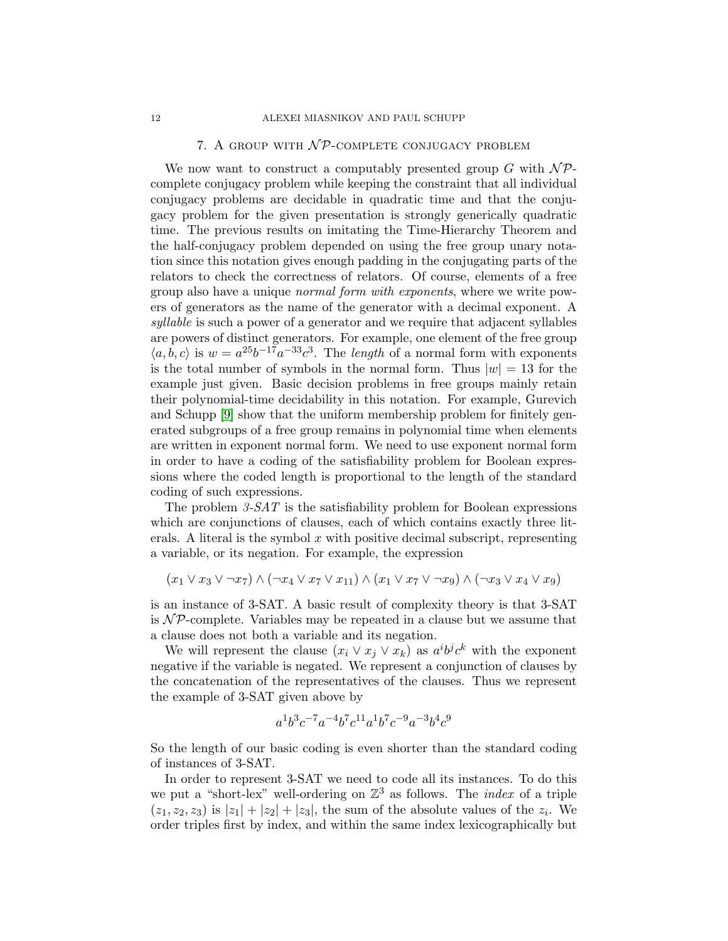## 7. A GROUP WITH  $N$ P-COMPLETE CONJUGACY PROBLEM

<span id="page-11-0"></span>We now want to construct a computably presented group G with  $\mathcal{NP}$ complete conjugacy problem while keeping the constraint that all individual conjugacy problems are decidable in quadratic time and that the conjugacy problem for the given presentation is strongly generically quadratic time. The previous results on imitating the Time-Hierarchy Theorem and the half-conjugacy problem depended on using the free group unary notation since this notation gives enough padding in the conjugating parts of the relators to check the correctness of relators. Of course, elements of a free group also have a unique normal form with exponents, where we write powers of generators as the name of the generator with a decimal exponent. A syllable is such a power of a generator and we require that adjacent syllables are powers of distinct generators. For example, one element of the free group  $\langle a, b, c \rangle$  is  $w = a^{25}b^{-17}a^{-33}c^3$ . The length of a normal form with exponents is the total number of symbols in the normal form. Thus  $|w| = 13$  for the example just given. Basic decision problems in free groups mainly retain their polynomial-time decidability in this notation. For example, Gurevich and Schupp [\[9\]](#page-15-8) show that the uniform membership problem for finitely generated subgroups of a free group remains in polynomial time when elements are written in exponent normal form. We need to use exponent normal form in order to have a coding of the satisfiability problem for Boolean expressions where the coded length is proportional to the length of the standard coding of such expressions.

The problem  $3-SAT$  is the satisfiability problem for Boolean expressions which are conjunctions of clauses, each of which contains exactly three literals. A literal is the symbol  $x$  with positive decimal subscript, representing a variable, or its negation. For example, the expression

$$
(x_1 \vee x_3 \vee \neg x_7) \wedge (\neg x_4 \vee x_7 \vee x_{11}) \wedge (x_1 \vee x_7 \vee \neg x_9) \wedge (\neg x_3 \vee x_4 \vee x_9)
$$

is an instance of 3-SAT. A basic result of complexity theory is that 3-SAT is  $N\mathcal{P}$ -complete. Variables may be repeated in a clause but we assume that a clause does not both a variable and its negation.

We will represent the clause  $(x_i \vee x_j \vee x_k)$  as  $a^i b^j c^k$  with the exponent negative if the variable is negated. We represent a conjunction of clauses by the concatenation of the representatives of the clauses. Thus we represent the example of 3-SAT given above by

$$
a^1b^3c^{-7}a^{-4}b^7c^{11}a^1b^7c^{-9}a^{-3}b^4c^9\\
$$

So the length of our basic coding is even shorter than the standard coding of instances of 3-SAT.

In order to represent 3-SAT we need to code all its instances. To do this we put a "short-lex" well-ordering on  $\mathbb{Z}^3$  as follows. The *index* of a triple  $(z_1, z_2, z_3)$  is  $|z_1| + |z_2| + |z_3|$ , the sum of the absolute values of the  $z_i$ . We order triples first by index, and within the same index lexicographically but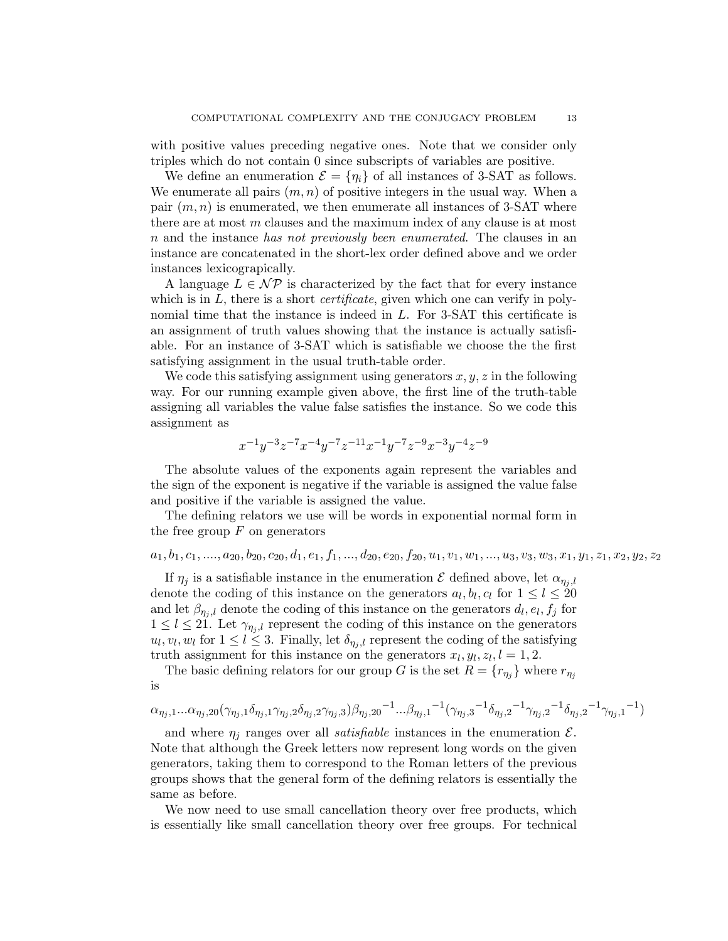with positive values preceding negative ones. Note that we consider only triples which do not contain 0 since subscripts of variables are positive.

We define an enumeration  $\mathcal{E} = \{\eta_i\}$  of all instances of 3-SAT as follows. We enumerate all pairs  $(m, n)$  of positive integers in the usual way. When a pair  $(m, n)$  is enumerated, we then enumerate all instances of 3-SAT where there are at most  $m$  clauses and the maximum index of any clause is at most n and the instance has not previously been enumerated. The clauses in an instance are concatenated in the short-lex order defined above and we order instances lexicograpically.

A language  $L \in \mathcal{NP}$  is characterized by the fact that for every instance which is in  $L$ , there is a short *certificate*, given which one can verify in polynomial time that the instance is indeed in L. For 3-SAT this certificate is an assignment of truth values showing that the instance is actually satisfiable. For an instance of 3-SAT which is satisfiable we choose the the first satisfying assignment in the usual truth-table order.

We code this satisfying assignment using generators  $x, y, z$  in the following way. For our running example given above, the first line of the truth-table assigning all variables the value false satisfies the instance. So we code this assignment as

$$
x^{-1}y^{-3}z^{-7}x^{-4}y^{-7}z^{-11}x^{-1}y^{-7}z^{-9}x^{-3}y^{-4}z^{-9}
$$

The absolute values of the exponents again represent the variables and the sign of the exponent is negative if the variable is assigned the value false and positive if the variable is assigned the value.

The defining relators we use will be words in exponential normal form in the free group  $F$  on generators

# $a_1, b_1, c_1, \ldots, a_{20}, b_{20}, c_{20}, d_1, e_1, f_1, \ldots, d_{20}, e_{20}, f_{20}, u_1, v_1, w_1, \ldots, u_3, v_3, w_3, x_1, y_1, z_1, x_2, y_2, z_2$

If  $\eta_j$  is a satisfiable instance in the enumeration  $\mathcal E$  defined above, let  $\alpha_{\eta_j,l}$ denote the coding of this instance on the generators  $a_l, b_l, c_l$  for  $1 \leq l \leq 20$ and let  $\beta_{\eta_j,l}$  denote the coding of this instance on the generators  $d_l, e_l, f_j$  for  $1 \leq l \leq 21$ . Let  $\gamma_{\eta_i,l}$  represent the coding of this instance on the generators  $u_l, v_l, w_l$  for  $1 \leq l \leq 3$ . Finally, let  $\delta_{\eta_j, l}$  represent the coding of the satisfying truth assignment for this instance on the generators  $x_l, y_l, z_l, l = 1, 2$ .

The basic defining relators for our group G is the set  $R = \{r_{\eta_j}\}\$  where  $r_{\eta_j}$ is

$$
\alpha_{\eta_j,1}...\alpha_{\eta_j,20}(\gamma_{\eta_j,1}\delta_{\eta_j,1}\gamma_{\eta_j,2}\delta_{\eta_j,2}\gamma_{\eta_j,3})\beta_{\eta_j,20}{}^{-1}...\beta_{\eta_j,1}{}^{-1}(\gamma_{\eta_j,3}{}^{-1}\delta_{\eta_j,2}{}^{-1}\gamma_{\eta_j,2}{}^{-1}\delta_{\eta_j,2}{}^{-1}\gamma_{\eta_j,1}{}^{-1})
$$

and where  $\eta_i$  ranges over all *satisfiable* instances in the enumeration  $\mathcal{E}$ . Note that although the Greek letters now represent long words on the given generators, taking them to correspond to the Roman letters of the previous groups shows that the general form of the defining relators is essentially the same as before.

We now need to use small cancellation theory over free products, which is essentially like small cancellation theory over free groups. For technical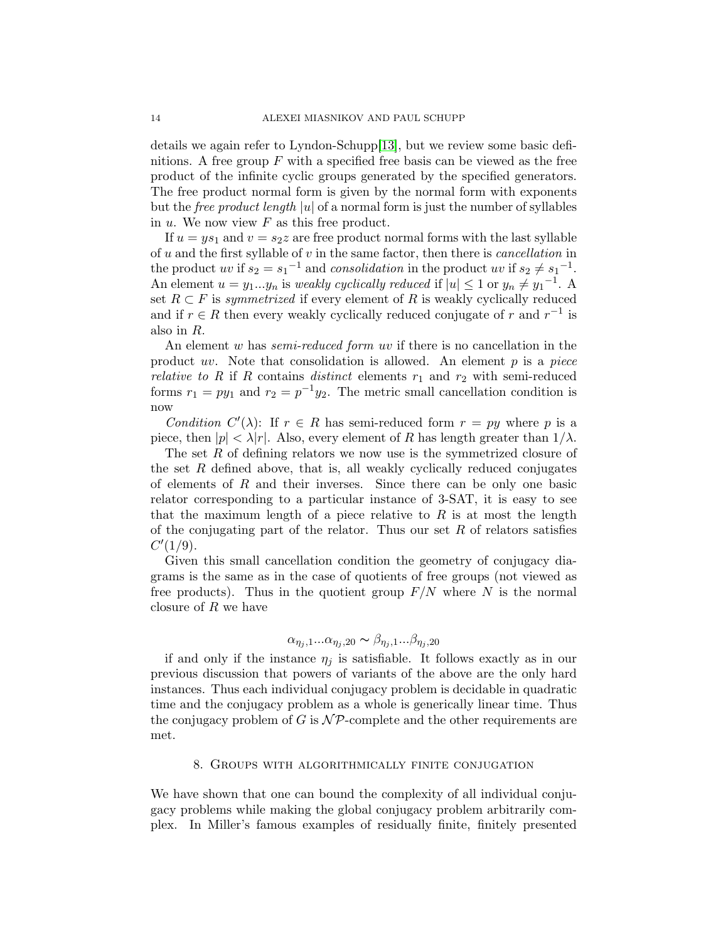details we again refer to Lyndon-Schupp[\[13\]](#page-16-4), but we review some basic definitions. A free group  $F$  with a specified free basis can be viewed as the free product of the infinite cyclic groups generated by the specified generators. The free product normal form is given by the normal form with exponents but the *free product length* |u| of a normal form is just the number of syllables in  $u$ . We now view  $F$  as this free product.

If  $u = ys_1$  and  $v = s_2z$  are free product normal forms with the last syllable of  $u$  and the first syllable of  $v$  in the same factor, then there is *cancellation* in the product uv if  $s_2 = s_1^{-1}$  and consolidation in the product uv if  $s_2 \neq s_1^{-1}$ . An element  $u = y_1...y_n$  is weakly cyclically reduced if  $|u| \leq 1$  or  $y_n \neq y_1^{-1}$ . A set  $R \subset F$  is symmetrized if every element of R is weakly cyclically reduced and if  $r \in R$  then every weakly cyclically reduced conjugate of r and  $r^{-1}$  is also in R.

An element w has *semi-reduced form uv* if there is no cancellation in the product uv. Note that consolidation is allowed. An element  $p$  is a piece *relative to R* if R contains *distinct* elements  $r_1$  and  $r_2$  with semi-reduced forms  $r_1 = py_1$  and  $r_2 = p^{-1}y_2$ . The metric small cancellation condition is now

Condition  $C'(\lambda)$ : If  $r \in R$  has semi-reduced form  $r = py$  where p is a piece, then  $|p| < \lambda |r|$ . Also, every element of R has length greater than  $1/\lambda$ .

The set R of defining relators we now use is the symmetrized closure of the set  $R$  defined above, that is, all weakly cyclically reduced conjugates of elements of  $R$  and their inverses. Since there can be only one basic relator corresponding to a particular instance of 3-SAT, it is easy to see that the maximum length of a piece relative to  $R$  is at most the length of the conjugating part of the relator. Thus our set  $R$  of relators satisfies  $C'(1/9)$ .

Given this small cancellation condition the geometry of conjugacy diagrams is the same as in the case of quotients of free groups (not viewed as free products). Thus in the quotient group  $F/N$  where N is the normal closure of R we have

$$
\alpha_{\eta_j,1}...\alpha_{\eta_j,20} \sim \beta_{\eta_j,1}...\beta_{\eta_j,20}
$$

if and only if the instance  $\eta_j$  is satisfiable. It follows exactly as in our previous discussion that powers of variants of the above are the only hard instances. Thus each individual conjugacy problem is decidable in quadratic time and the conjugacy problem as a whole is generically linear time. Thus the conjugacy problem of G is  $\mathcal{NP}$ -complete and the other requirements are met.

## 8. Groups with algorithmically finite conjugation

<span id="page-13-0"></span>We have shown that one can bound the complexity of all individual conjugacy problems while making the global conjugacy problem arbitrarily complex. In Miller's famous examples of residually finite, finitely presented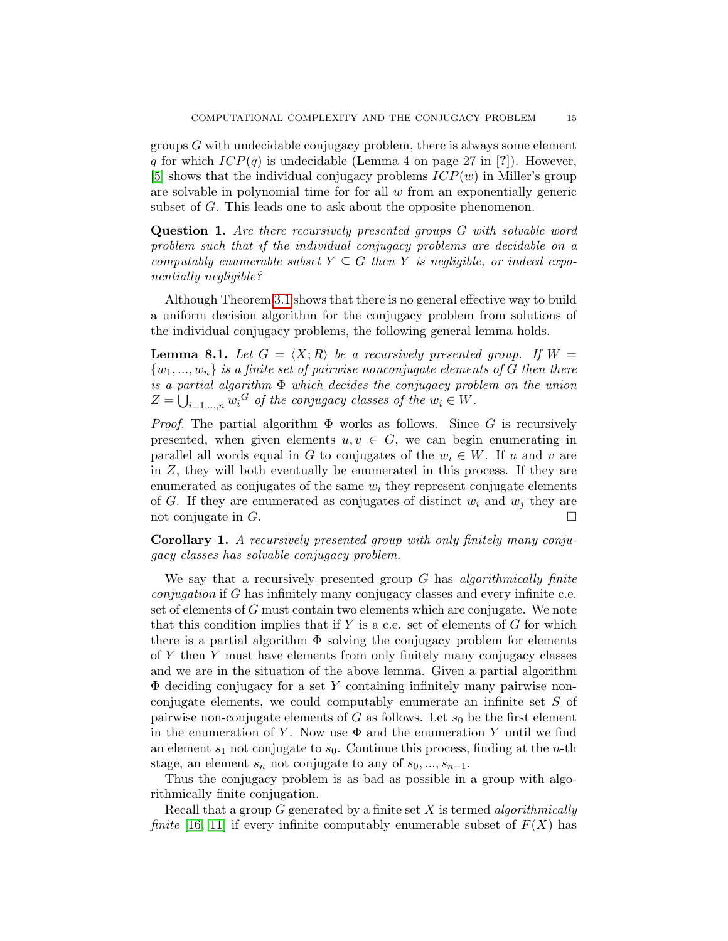groups  $G$  with undecidable conjugacy problem, there is always some element q for which  $ICP(q)$  is undecidable (Lemma 4 on page 27 in [?]). However, [\[5\]](#page-15-2) shows that the individual conjugacy problems  $ICP(w)$  in Miller's group are solvable in polynomial time for for all  $w$  from an exponentially generic subset of G. This leads one to ask about the opposite phenomenon.

Question 1. Are there recursively presented groups G with solvable word problem such that if the individual conjugacy problems are decidable on a computably enumerable subset  $Y \subseteq G$  then Y is negligible, or indeed exponentially negligible?

Although Theorem [3.1](#page-4-0) shows that there is no general effective way to build a uniform decision algorithm for the conjugacy problem from solutions of the individual conjugacy problems, the following general lemma holds.

**Lemma 8.1.** Let  $G = \langle X; R \rangle$  be a recursively presented group. If  $W =$  ${w_1, ..., w_n}$  is a finite set of pairwise nonconjugate elements of G then there is a partial algorithm  $\Phi$  which decides the conjugacy problem on the union  $Z = \bigcup_{i=1,\dots,n} w_i^G$  of the conjugacy classes of the  $w_i \in W$ .

*Proof.* The partial algorithm  $\Phi$  works as follows. Since G is recursively presented, when given elements  $u, v \in G$ , we can begin enumerating in parallel all words equal in G to conjugates of the  $w_i \in W$ . If u and v are in Z, they will both eventually be enumerated in this process. If they are enumerated as conjugates of the same  $w_i$  they represent conjugate elements of G. If they are enumerated as conjugates of distinct  $w_i$  and  $w_j$  they are not conjugate in  $G$ .

Corollary 1. A recursively presented group with only finitely many conjugacy classes has solvable conjugacy problem.

We say that a recursively presented group  $G$  has algorithmically finite conjugation if G has infinitely many conjugacy classes and every infinite c.e. set of elements of G must contain two elements which are conjugate. We note that this condition implies that if Y is a c.e. set of elements of  $G$  for which there is a partial algorithm  $\Phi$  solving the conjugacy problem for elements of Y then Y must have elements from only finitely many conjugacy classes and we are in the situation of the above lemma. Given a partial algorithm  $\Phi$  deciding conjugacy for a set Y containing infinitely many pairwise nonconjugate elements, we could computably enumerate an infinite set S of pairwise non-conjugate elements of G as follows. Let  $s_0$  be the first element in the enumeration of Y. Now use  $\Phi$  and the enumeration Y until we find an element  $s_1$  not conjugate to  $s_0$ . Continue this process, finding at the *n*-th stage, an element  $s_n$  not conjugate to any of  $s_0, ..., s_{n-1}$ .

Thus the conjugacy problem is as bad as possible in a group with algorithmically finite conjugation.

Recall that a group  $G$  generated by a finite set  $X$  is termed algorithmically finite [\[16,](#page-16-3) [11\]](#page-16-7) if every infinite computably enumerable subset of  $F(X)$  has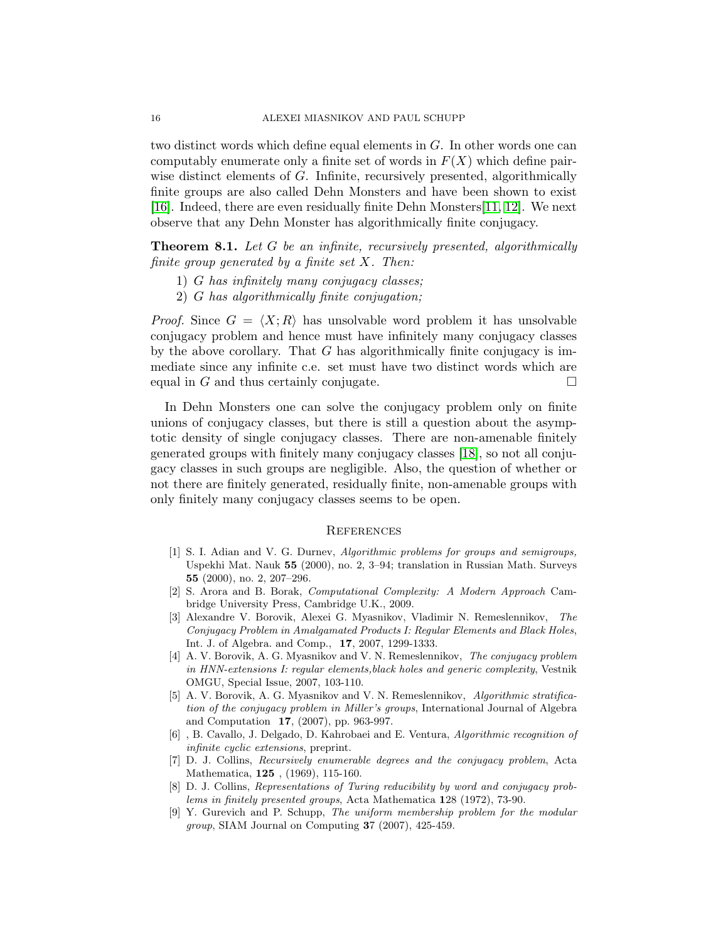two distinct words which define equal elements in G. In other words one can computably enumerate only a finite set of words in  $F(X)$  which define pairwise distinct elements of G. Infinite, recursively presented, algorithmically finite groups are also called Dehn Monsters and have been shown to exist [\[16\]](#page-16-3). Indeed, there are even residually finite Dehn Monsters[\[11,](#page-16-7) [12\]](#page-16-8). We next observe that any Dehn Monster has algorithmically finite conjugacy.

**Theorem 8.1.** Let G be an infinite, recursively presented, algorithmically finite group generated by a finite set  $X$ . Then:

- 1) G has infinitely many conjugacy classes;
- 2) G has algorithmically finite conjugation;

*Proof.* Since  $G = \langle X; R \rangle$  has unsolvable word problem it has unsolvable conjugacy problem and hence must have infinitely many conjugacy classes by the above corollary. That  $G$  has algorithmically finite conjugacy is immediate since any infinite c.e. set must have two distinct words which are equal in G and thus certainly conjugate.

In Dehn Monsters one can solve the conjugacy problem only on finite unions of conjugacy classes, but there is still a question about the asymptotic density of single conjugacy classes. There are non-amenable finitely generated groups with finitely many conjugacy classes [\[18\]](#page-16-9), so not all conjugacy classes in such groups are negligible. Also, the question of whether or not there are finitely generated, residually finite, non-amenable groups with only finitely many conjugacy classes seems to be open.

## <span id="page-15-0"></span>**REFERENCES**

- [1] S. I. Adian and V. G. Durnev, Algorithmic problems for groups and semigroups, Uspekhi Mat. Nauk 55 (2000), no. 2, 3–94; translation in Russian Math. Surveys 55 (2000), no. 2, 207–296.
- <span id="page-15-7"></span>[2] S. Arora and B. Borak, Computational Complexity: A Modern Approach Cambridge University Press, Cambridge U.K., 2009.
- <span id="page-15-3"></span>[3] Alexandre V. Borovik, Alexei G. Myasnikov, Vladimir N. Remeslennikov, The Conjugacy Problem in Amalgamated Products I: Regular Elements and Black Holes, Int. J. of Algebra. and Comp., 17, 2007, 1299-1333.
- <span id="page-15-4"></span>[4] A. V. Borovik, A. G. Myasnikov and V. N. Remeslennikov, The conjugacy problem in HNN-extensions I: regular elements,black holes and generic complexity, Vestnik OMGU, Special Issue, 2007, 103-110.
- <span id="page-15-2"></span>[5] A. V. Borovik, A. G. Myasnikov and V. N. Remeslennikov, Algorithmic stratification of the conjugacy problem in Miller's groups, International Journal of Algebra and Computation 17, (2007), pp. 963-997.
- <span id="page-15-5"></span>[6] , B. Cavallo, J. Delgado, D. Kahrobaei and E. Ventura, Algorithmic recognition of infinite cyclic extensions, preprint.
- <span id="page-15-1"></span>[7] D. J. Collins, Recursively enumerable degrees and the conjugacy problem, Acta Mathematica, 125 , (1969), 115-160.
- <span id="page-15-6"></span>[8] D. J. Collins, Representations of Turing reducibility by word and conjugacy problems in finitely presented groups, Acta Mathematica 128 (1972), 73-90.
- <span id="page-15-8"></span>[9] Y. Gurevich and P. Schupp, The uniform membership problem for the modular group, SIAM Journal on Computing 37 (2007), 425-459.